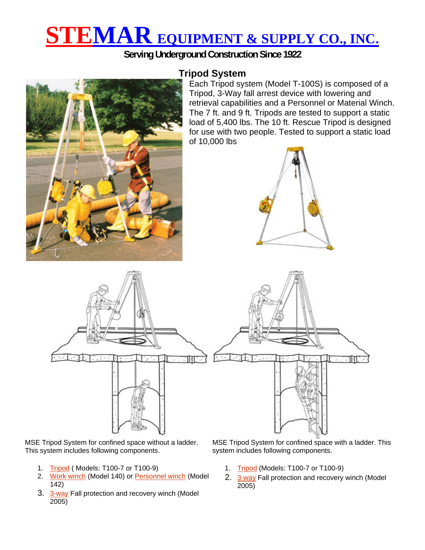# **STEMAR EQUIPMENT & SUPPLY CO., INC.**

**Serving Underground Construction Since 1922** 



## **Tripod System**

Each Tripod system (Model T-100S) is composed of a Tripod, 3-Way fall arrest device with lowering and retrieval capabilities and a Personnel or Material Winch. The 7 ft. and 9 ft. Tripods are tested to support a static load of 5,400 lbs. The 10 ft. Rescue Tripod is designed for use with two people. Tested to support a static load of 10,000 lbs





MSE Tripod System for confined space without a ladder. This system includes following components.

- 1. Tripod ( Models: T100-7 or T100-9)
- 2. Work winch (Model 140) or Personnel winch (Model 142)
- 3. 3-way Fall protection and recovery winch (Model 2005)

MSE Tripod System for confined space with a ladder. This system includes following components.

- 1. Tripod (Models: T100-7 or T100-9)
- 2. 3-way Fall protection and recovery winch (Model 2005)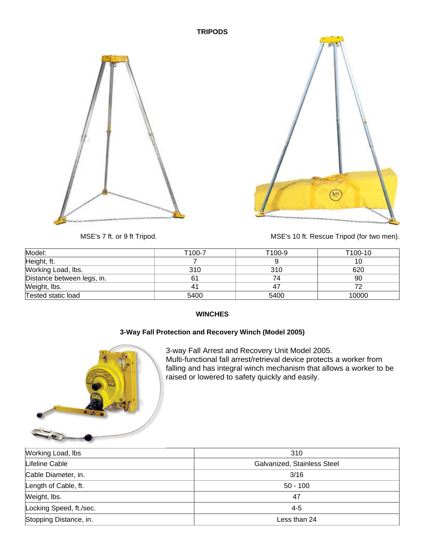#### **TRIPODS**





MSE's 7 ft. or 9 ft Tripod. MSE's 10 ft. Rescue Tripod (for two men).

| Model:                     | T <sub>100-7</sub> | T100-9 | T100-10 |
|----------------------------|--------------------|--------|---------|
| Height, ft.                |                    |        | 10      |
| Working Load, Ibs.         | 310                | 310    | 620     |
| Distance between legs, in. |                    | 74     | 90      |
| Weight, lbs.               |                    | 47     |         |
| Tested static load         | 5400               | 5400   | 10000   |

#### **WINCHES**

### **3-Way Fall Protection and Recovery Winch (Model 2005)**



3-way Fall Arrest and Recovery Unit Model 2005. Multi-functional fall arrest/retrieval device protects a worker from falling and has integral winch mechanism that allows a worker to be raised or lowered to safety quickly and easily.

| Working Load, lbs       | 310                         |  |
|-------------------------|-----------------------------|--|
| Lifeline Cable          | Galvanized, Stainless Steel |  |
| Cable Diameter, in.     | 3/16                        |  |
| Length of Cable, ft.    | $50 - 100$                  |  |
| Weight, lbs.            | 47                          |  |
| Locking Speed, ft./sec. | $4 - 5$                     |  |
| Stopping Distance, in.  | Less than 24                |  |